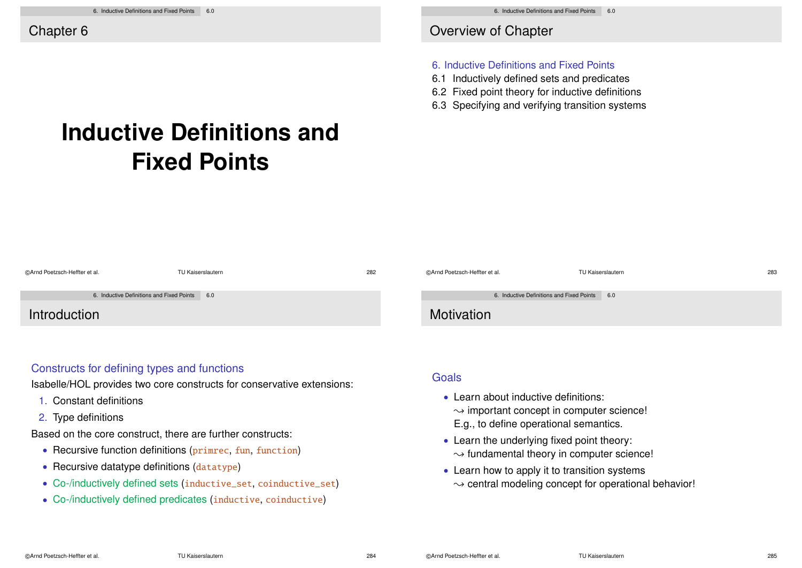Overview of Chapter

#### 6. Inductive Definitions and Fixed Points

- 6.1 Inductively defined sets and predicates
- 6.2 Fixed point theory for inductive definitions
- 6.3 Specifying and verifying transition systems

# **Inductive Definitions and Fixed Points**

| ©Arnd Poetzsch-Heffter et al.                 | TU Kaiserslautern | 282 | ©Arnd Poetzsch-Heffter et al.                 | TU Kaiserslautern | 283 |
|-----------------------------------------------|-------------------|-----|-----------------------------------------------|-------------------|-----|
| 6. Inductive Definitions and Fixed Points 6.0 |                   |     | 6. Inductive Definitions and Fixed Points 6.0 |                   |     |
| Introduction                                  |                   |     | Motivation                                    |                   |     |

## Constructs for defining types and functions

Isabelle/HOL provides two core constructs for conservative extensions:

- 1. Constant definitions
- 2. Type definitions

Based on the core construct, there are further constructs:

- Recursive function definitions (primrec, fun, function)
- Recursive datatype definitions (datatype)
- Co-/inductively defined sets (inductive\_set, coinductive\_set)
- Co-/inductively defined predicates (inductive, coinductive)

**Goals** 

- Learn about inductive definitions:  $\rightarrow$  important concept in computer science! E.g., to define operational semantics.
- Learn the underlying fixed point theory:  $\rightarrow$  fundamental theory in computer science!
- Learn how to apply it to transition systems  $\rightarrow$  central modeling concept for operational behavior!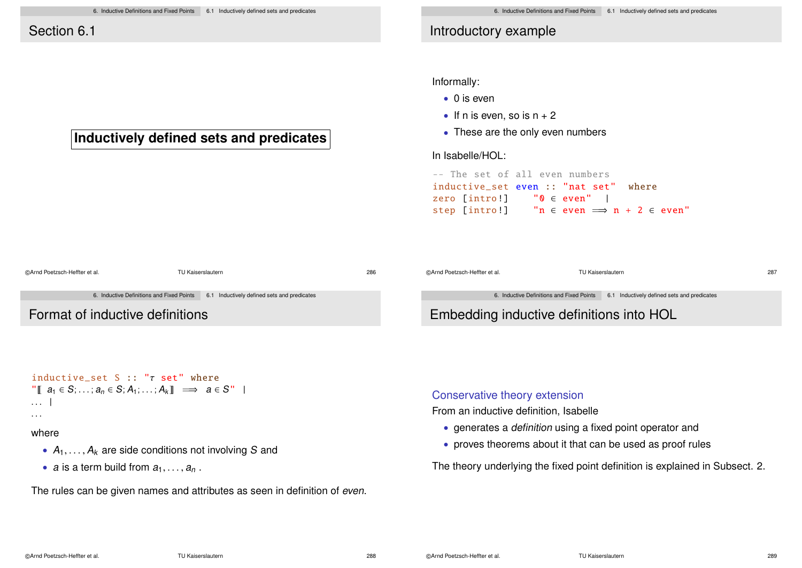**Inductively defined sets and predicates**

# Introductory example

Informally:

- 0 is even
- If n is even, so is  $n + 2$
- These are the only even numbers

In Isabelle/HOL:

```
-- The set of all even numbers
inductive set even :: "nat set" where
zero [intro!] "0 \in even" |<br>sten [intro!] "n \in even \implies\mathsf{in} \in \mathsf{even} \implies \mathsf{n} + 2 \in \mathsf{even}"
```

| @Arnd Poetzsch-Heffter et al.   | TU Kaiserslautern                                                                     | 286 | @Arnd Poetzsch-Heffter et al.            | TU Kaiserslautern                                                                     | 287 |
|---------------------------------|---------------------------------------------------------------------------------------|-----|------------------------------------------|---------------------------------------------------------------------------------------|-----|
|                                 | 6. Inductive Definitions and Fixed Points 6.1 Inductively defined sets and predicates |     |                                          | 6. Inductive Definitions and Fixed Points 6.1 Inductively defined sets and predicates |     |
| Format of inductive definitions |                                                                                       |     | Embedding inductive definitions into HOL |                                                                                       |     |

```
inductive set S :: "\tau set" where
\| \mathbb{T} \mid a_1 \in S: \ldots: a_n \in S: A_1: \ldots: A_k \| \implies a \in S''. . . |
```
#### where

- $A_1, \ldots, A_k$  are side conditions not involving S and
- a is a term build from  $a_1, \ldots, a_n$ .

The rules can be given names and attributes as seen in definition of even.

#### Conservative theory extension

From an inductive definition, Isabelle

- generates a definition using a fixed point operator and
- proves theorems about it that can be used as proof rules

The theory underlying the fixed point definition is explained in Subsect. 2.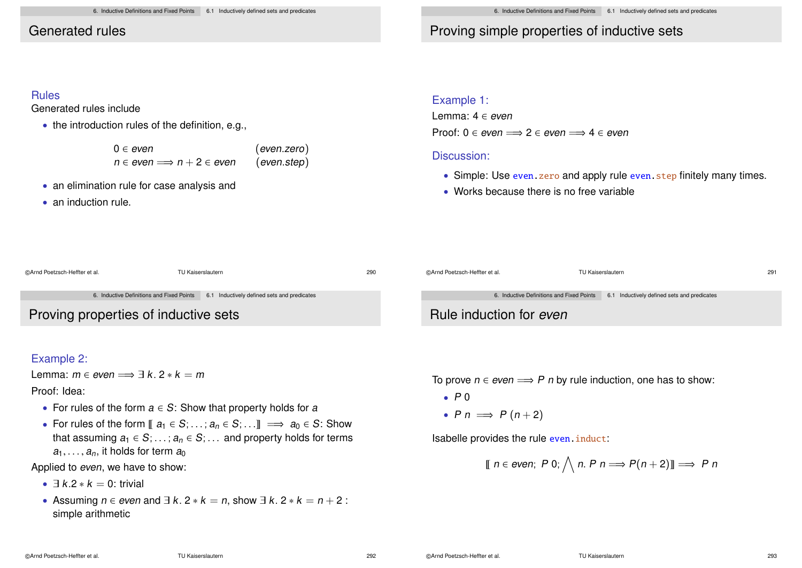# Generated rules

# Proving simple properties of inductive sets

#### Rules

Generated rules include

• the introduction rules of the definition, e.g.,

| $0 \in even$                       | (even. zero) |
|------------------------------------|--------------|
| $n \in even \implies n+2 \in even$ | (even. step) |

- an elimination rule for case analysis and
- an induction rule.

#### Example 1:

Lemma: 4 ∈ even Proof:  $0 \in even \implies 2 \in even \implies 4 \in even$ 

#### Discussion:

- Simple: Use even. zero and apply rule even. step finitely many times.
- Works because there is no free variable

| @Arnd Poetzsch-Heffter et al.               | TU Kaiserslautern                                                                     | 290 | @Arnd Poetzsch-Heffter et al. | TU Kaiserslautern                                                                     |  |
|---------------------------------------------|---------------------------------------------------------------------------------------|-----|-------------------------------|---------------------------------------------------------------------------------------|--|
| <b>Proving properties of inductive sets</b> | 6. Inductive Definitions and Fixed Points 6.1 Inductively defined sets and predicates |     | Rule induction for even       | 6. Inductive Definitions and Fixed Points 6.1 Inductively defined sets and predicates |  |

## Example 2:

Lemma:  $m \in even \implies \exists k. 2 * k = m$ 

Proof: Idea:

- For rules of the form  $a \in S$ : Show that property holds for a
- For rules of the form  $\llbracket a_1 \in S; \ldots; a_n \in S; \ldots \rrbracket \implies a_0 \in S$ : Show that assuming  $a_1 \in S$ ; ...;  $a_n \in S$ ; ... and property holds for terms  $a_1, \ldots, a_n$ , it holds for term  $a_0$

Applied to even, we have to show:

- $\exists k \, 2 * k = 0$ : trivial
- Assuming  $n \in$  even and  $\exists k. 2 * k = n$ , show  $\exists k. 2 * k = n + 2$ : simple arithmetic

To prove  $n \in even \implies P$  n by rule induction, one has to show:

- $\bullet$  P 0
- P  $n \implies P(n+2)$

Isabelle provides the rule even.induct:

$$
\llbracket n \in \text{even}; \ P \ 0; \bigwedge n. \ P \ n \Longrightarrow P(n+2) \rrbracket \Longrightarrow P \ n
$$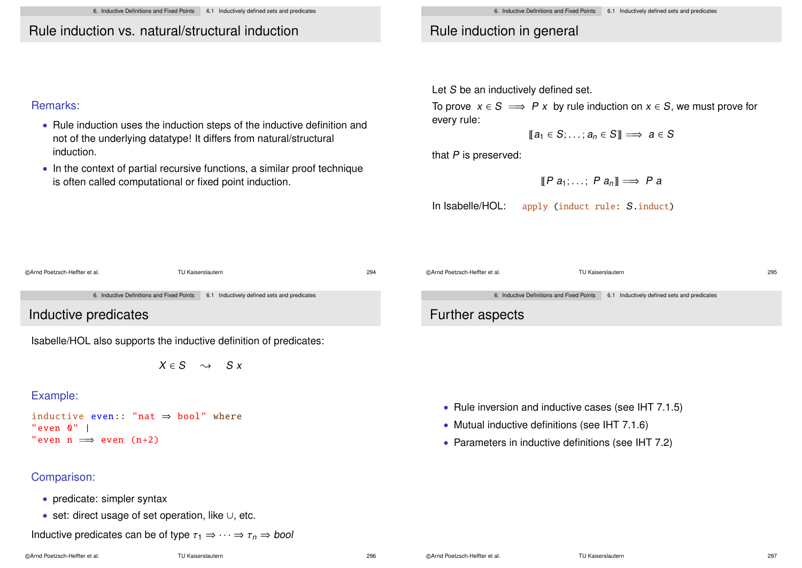6. Inductive Definitions and Fixed Points 6.1 Inductively defined sets and predicates

# Rule induction vs. natural/structural induction

# Remarks:

- Rule induction uses the induction steps of the inductive definition and not of the underlying datatype! It differs from natural/structural induction.
- In the context of partial recursive functions, a similar proof technique is often called computational or fixed point induction.

# Rule induction in general

Let S be an inductively defined set.

To prove  $x \in S \implies P x$  by rule induction on  $x \in S$ , we must prove for every rule:

 $\mathbb{T}a_1 \in S: \ldots: a_n \in S\mathbb{T} \implies a \in S$ 

that P is preserved:

$$
[\![P \ a_1; \ldots; P \ a_n]\!] \Longrightarrow P \ a
$$

In Isabelle/HOL: apply (induct rule: S.induct)

©Arnd Poetzsch-Heffter et al. TU Kaiserslautern 295

6. Inductive Definitions and Fixed Points 6.1 Inductively defined sets and predicates

# Further aspects

- Rule inversion and inductive cases (see IHT 7.1.5)
- Mutual inductive definitions (see IHT 7.1.6)
- Parameters in inductive definitions (see IHT 7.2)

6. Inductive Definitions and Fixed Points 6.1 Inductively defined sets and predicates

©Arnd Poetzsch-Heffter et al. TU Kaiserslautern 294

Inductive predicates

Isabelle/HOL also supports the inductive definition of predicates:

 $X \in S \longrightarrow S X$ 

## Example:

```
inductive even:: "nat \Rightarrow bool" where
"even 0" |
"even n \implies even (n+2)
```
# Comparison:

- predicate: simpler syntax
- set: direct usage of set operation, like ∪, etc.

Inductive predicates can be of type  $\tau_1 \Rightarrow \cdots \Rightarrow \tau_n \Rightarrow$  bool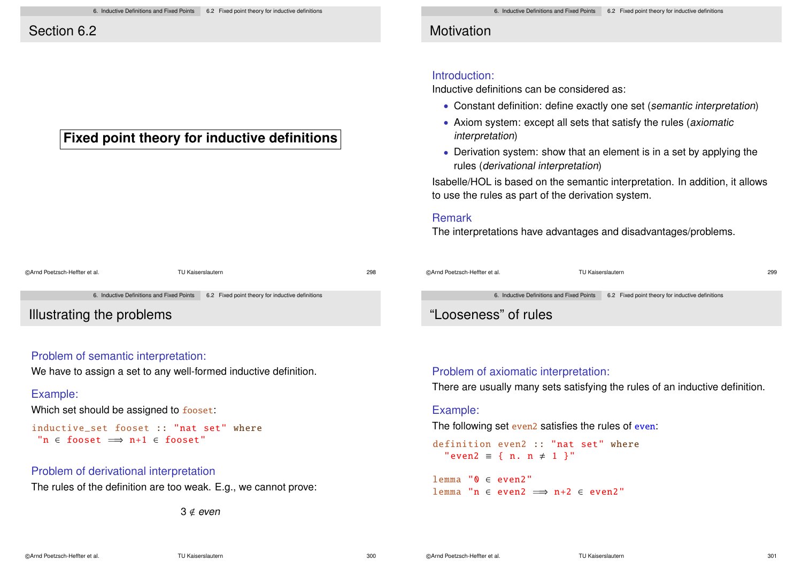# Section 6.2

# **Fixed point theory for inductive definitions**

| ©Arnd Poetzsch-Heffter et al. |                                           | TU Kaiserslautern                                | 298 |
|-------------------------------|-------------------------------------------|--------------------------------------------------|-----|
|                               | 6. Inductive Definitions and Fixed Points | 6.2 Fixed point theory for inductive definitions |     |
|                               |                                           |                                                  |     |

Illustrating the problems

## Problem of semantic interpretation:

We have to assign a set to any well-formed inductive definition.

#### Example:

Which set should be assigned to fooset:

```
inductive set fooset :: "nat set" where
 "n \epsilon fooset \implies n+1 \epsilon fooset"
```
#### Problem of derivational interpretation

The rules of the definition are too weak. E.g., we cannot prove:

 $3 \notin even$ 

# **Motivation**

## Introduction:

Inductive definitions can be considered as:

- Constant definition: define exactly one set (semantic interpretation)
- Axiom system: except all sets that satisfy the rules (axiomatic interpretation)
- Derivation system: show that an element is in a set by applying the rules (derivational interpretation)

Isabelle/HOL is based on the semantic interpretation. In addition, it allows to use the rules as part of the derivation system.

#### Remark

The interpretations have advantages and disadvantages/problems.

| ©Arnd Poetzsch-Heffter et al. | TU Kaiserslautern                         |                                                  | 299 |
|-------------------------------|-------------------------------------------|--------------------------------------------------|-----|
|                               | 6. Inductive Definitions and Fixed Points | 6.2 Fixed point theory for inductive definitions |     |

# "Looseness" of rules

#### Problem of axiomatic interpretation:

There are usually many sets satisfying the rules of an inductive definition.

#### Example:

The following set even2 satisfies the rules of even:

definition even2 :: "nat set" where "even2 = { n. n  $\neq$  1 }"

lemma "0 ∈ even2" lemma "n  $\in$  even2  $\implies$  n+2  $\in$  even2"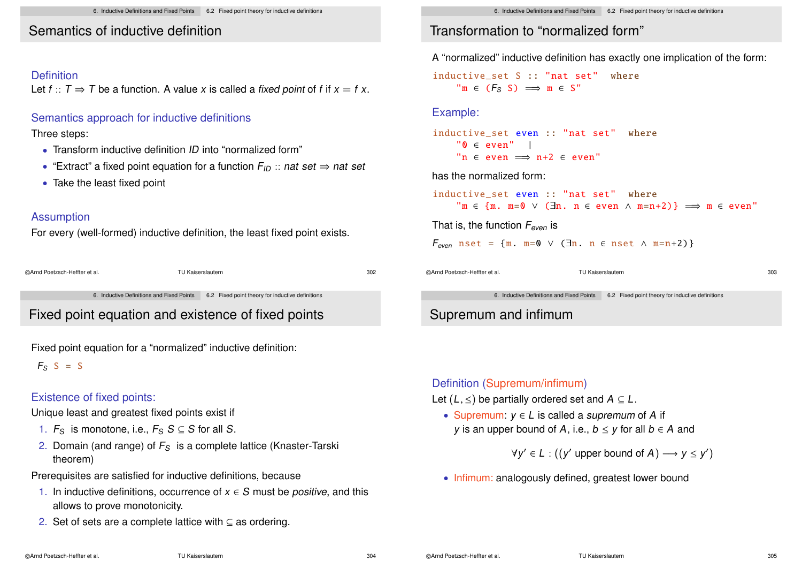# Semantics of inductive definition

# Definition

Let  $f: T \Rightarrow T$  be a function. A value x is called a fixed point of f if  $x = f x$ .

## Semantics approach for inductive definitions

#### Three steps:

- Transform inductive definition ID into "normalized form"
- "Extract" a fixed point equation for a function  $F_{ID}$  :: nat set  $\Rightarrow$  nat set
- Take the least fixed point

# Assumption

For every (well-formed) inductive definition, the least fixed point exists.

| @Arnd Poetzsch-Heffter et al. | TU Kaiserslautern | 302 |
|-------------------------------|-------------------|-----|
|                               |                   |     |

6. Inductive Definitions and Fixed Points 6.2 Fixed point theory for inductive definitions

# Fixed point equation and existence of fixed points

Fixed point equation for a "normalized" inductive definition:

 $F_S$  S = S

# Existence of fixed points:

Unique least and greatest fixed points exist if

- 1.  $F_S$  is monotone, i.e.,  $F_S S \subseteq S$  for all S.
- 2. Domain (and range) of  $F<sub>S</sub>$  is a complete lattice (Knaster-Tarski theorem)

Prerequisites are satisfied for inductive definitions, because

- 1. In inductive definitions, occurrence of  $x \in S$  must be *positive*, and this allows to prove monotonicity.
- 2. Set of sets are a complete lattice with ⊆ as ordering.

# Transformation to "normalized form"

A "normalized" inductive definition has exactly one implication of the form:

inductive set S :: "nat set" where  $\mathbb{P} \mathfrak{m} \in (F_S \ S) \implies \mathfrak{m} \in S$ "

## Example:

inductive set even :: "nat set" where  $"0 \in even"$  | "n  $\epsilon$  even  $\implies$  n+2  $\epsilon$  even"

#### has the normalized form:

```
inductive set even :: "nat set" where
           \mathbb{P} \mathfrak{m} \in \{ \mathfrak{m}. \mathfrak{m} = 0 \vee (\exists \mathfrak{n}. \mathfrak{n} \in \text{even} \wedge \mathfrak{m} = \mathfrak{n} + 2) \} \implies \mathfrak{m} \in \text{even}
```
That is, the function  $F_{even}$  is

```
F_{even} nset = {m. m=0 \vee (\existsn. n \in nset \wedge m=n+2)}
```
©Arnd Poetzsch-Heffter et al. TU Kaiserslautern 303

6. Inductive Definitions and Fixed Points 6.2 Fixed point theory for inductive definitions

# Supremum and infimum

## Definition (Supremum/infimum)

- Let  $(L, \leq)$  be partially ordered set and  $A \subseteq L$ .
	- Supremum:  $y \in L$  is called a *supremum* of A if y is an upper bound of A, i.e.,  $b \le y$  for all  $b \in A$  and

 $\forall y' \in L : ((y' \text{ upper bound of } A) \longrightarrow y \leq y')$ 

• Infimum: analogously defined, greatest lower bound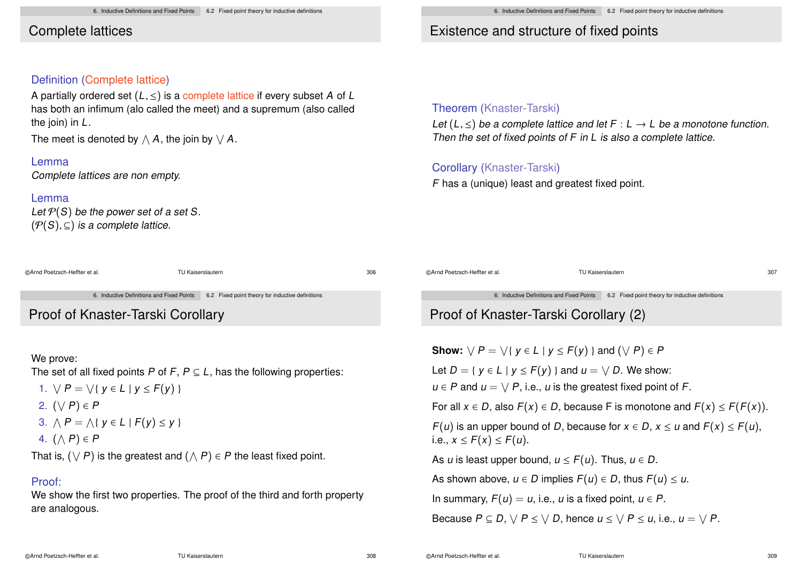# Complete lattices

#### Definition (Complete lattice)

A partially ordered set  $(L, \leq)$  is a complete lattice if every subset A of L has both an infimum (alo called the meet) and a supremum (also called the join) in L.

The meet is denoted by  $\wedge$   $\boldsymbol{A},$  the join by  $\vee$   $\boldsymbol{A}.$ 

#### Lemma

Complete lattices are non empty.

#### Lemma

Let  $P(S)$  be the power set of a set S.  $(\mathcal{P}(S), \subseteq)$  is a complete lattice.

| ©Arnd Poetzsch-Heffter et al. | TU Kaiserslautern | 306 |
|-------------------------------|-------------------|-----|
|                               |                   |     |

6. Inductive Definitions and Fixed Points 6.2 Fixed point theory for inductive definitions

# Proof of Knaster-Tarski Corollary

#### We prove:

The set of all fixed points P of F,  $P \subseteq L$ , has the following properties:

- 1.  $\forall P = \forall \{ y \in L \mid y \leq F(y) \}$
- 2.  $(\vee P) \in P$
- 3.  $\bigwedge P = \bigwedge \{ y \in L \mid F(y) \leq y \}$
- 4.  $(\wedge P) \in P$

That is,  $(\vee P)$  is the greatest and  $(\wedge P) \in P$  the least fixed point.

## Proof:

We show the first two properties. The proof of the third and forth property are analogous.

# Existence and structure of fixed points

# Theorem (Knaster-Tarski)

Let  $(L, \leq)$  be a complete lattice and let  $F : L \to L$  be a monotone function. Then the set of fixed points of F in L is also a complete lattice.

# Corollary (Knaster-Tarski)

F has a (unique) least and greatest fixed point.

©Arnd Poetzsch-Heffter et al. TU Kaiserslautern 307

6. Inductive Definitions and Fixed Points 6.2 Fixed point theory for inductive definitions

# Proof of Knaster-Tarski Corollary (2)

**Show:**  $\forall P = \forall \{ y \in L \mid y \leq F(y) \}$  and  $(\forall P) \in P$ 

Let  $D = \{ y \in L \mid y \leq F(y) \}$  and  $u = \sqrt{D}$ . We show:

 $u \in P$  and  $u = \bigvee P$ , i.e., u is the greatest fixed point of F.

For all  $x \in D$ , also  $F(x) \in D$ , because F is monotone and  $F(x) \leq F(F(x))$ .  $F(u)$  is an upper bound of D, because for  $x \in D$ ,  $x \le u$  and  $F(x) \le F(u)$ , i.e.,  $x \leq F(x) \leq F(u)$ .

As u is least upper bound,  $u \leq F(u)$ . Thus,  $u \in D$ .

As shown above,  $u \in D$  implies  $F(u) \in D$ , thus  $F(u) \leq u$ .

In summary,  $F(u) = u$ , i.e., u is a fixed point,  $u \in P$ .

Because  $P \subseteq D$ ,  $\forall P \leq \forall D$ , hence  $u \leq \forall P \leq u$ , i.e.,  $u = \forall P$ .